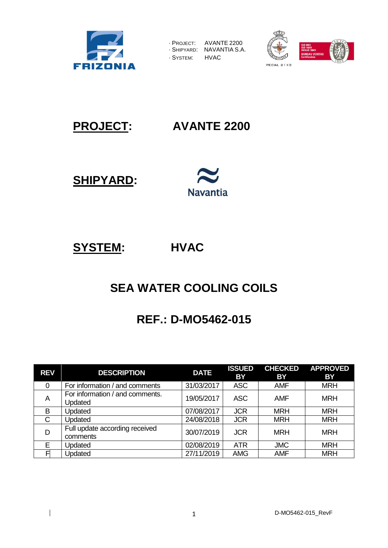

| - PROJECT:  | AVANTE 2200   |
|-------------|---------------|
| · SHIPYARD: | NAVANTIA S.A. |
| · SYSTEM:   | <b>HVAC</b>   |





**PROJECT: AVANTE 2200**

**SHIPYARD:** 



**SYSTEM: HVAC** 

# **SEA WATER COOLING COILS**

# **REF.: D-MO5462-015**

| <b>REV</b>   | <b>DESCRIPTION</b>                         | <b>DATE</b> | <b>ISSUED</b><br><b>BY</b> | <b>CHECKED</b><br>BY | <b>APPROVED</b><br>BY |
|--------------|--------------------------------------------|-------------|----------------------------|----------------------|-----------------------|
| 0            | For information / and comments             | 31/03/2017  | <b>ASC</b>                 | <b>AMF</b>           | <b>MRH</b>            |
| A            | For information / and comments.<br>Updated | 19/05/2017  | <b>ASC</b>                 | <b>AMF</b>           | <b>MRH</b>            |
| B            | Updated                                    | 07/08/2017  | <b>JCR</b>                 | <b>MRH</b>           | <b>MRH</b>            |
| $\mathsf{C}$ | Updated                                    | 24/08/2018  | <b>JCR</b>                 | <b>MRH</b>           | <b>MRH</b>            |
| D            | Full update according received<br>comments | 30/07/2019  | <b>JCR</b>                 | <b>MRH</b>           | <b>MRH</b>            |
| E            | Updated                                    | 02/08/2019  | <b>ATR</b>                 | <b>JMC</b>           | <b>MRH</b>            |
|              | Updated                                    | 27/11/2019  | <b>AMG</b>                 | <b>AMF</b>           | <b>MRH</b>            |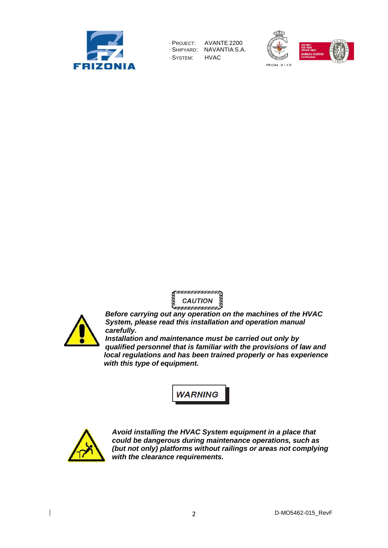









*Before carrying out any operation on the machines of the HVAC System, please read this installation and operation manual carefully.* 

*Installation and maintenance must be carried out only by qualified personnel that is familiar with the provisions of law and local regulations and has been trained properly or has experience with this type of equipment.* 





*Avoid installing the HVAC System equipment in a place that could be dangerous during maintenance operations, such as (but not only) platforms without railings or areas not complying with the clearance requirements.*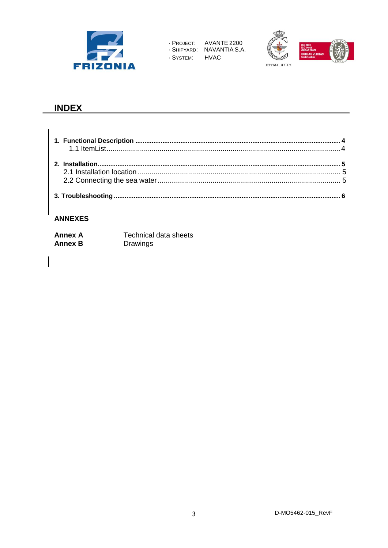





# **INDEX**

#### **ANNEXES**

 $\overline{\mathbf{I}}$ 

| <b>Annex A</b> | Technical data sheets |
|----------------|-----------------------|
| <b>Annex B</b> | Drawings              |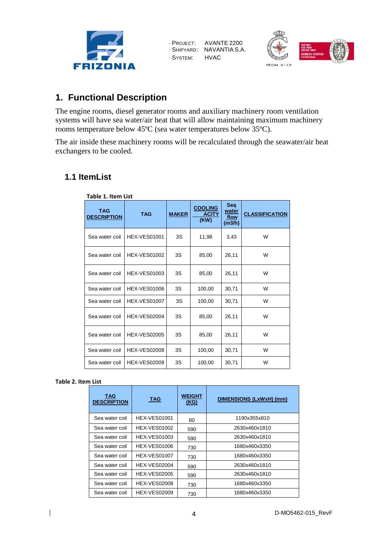



## <span id="page-3-0"></span>**1. Functional Description**

The engine rooms, diesel generator rooms and auxiliary machinery room ventilation systems will have sea water/air heat that will allow maintaining maximum machinery rooms temperature below 45ºC (sea water temperatures below 35ºC).

The air inside these machinery rooms will be recalculated through the seawater/air heat exchangers to be cooled.

## <span id="page-3-1"></span>**1.1 ItemList**

| Table 1. Item List        |                     |              |                                        |                                              |                       |
|---------------------------|---------------------|--------------|----------------------------------------|----------------------------------------------|-----------------------|
| TAG<br><b>DESCRIPTION</b> | <b>TAG</b>          | <b>MAKER</b> | <b>COOLING</b><br><b>ACITY</b><br>(KW) | <b>Sea</b><br><u>water</u><br>flow<br>(m3/h) | <b>CLASSIFICATION</b> |
| Sea water coil            | <b>HEX-VES01001</b> | 3S           | 11,98                                  | 3,43                                         | W                     |
| Sea water coil            | <b>HEX-VES01002</b> | 3S           | 85,00                                  | 26,11                                        | W                     |
| Sea water coil            | <b>HEX-VES01003</b> | 3S           | 85,00                                  | 26,11                                        | W                     |
| Sea water coil            | <b>HEX-VES01006</b> | 3S           | 100,00                                 | 30,71                                        | W                     |
| Sea water coil            | <b>HEX-VES01007</b> | 3S           | 100,00                                 | 30,71                                        | W                     |
| Sea water coil            | <b>HEX-VES02004</b> | 3S           | 85,00                                  | 26.11                                        | W                     |
| Sea water coil            | <b>HEX-VES02005</b> | 3S           | 85,00                                  | 26,11                                        | W                     |
| Sea water coil            | <b>HEX-VES02008</b> | 3S           | 100,00                                 | 30,71                                        | W                     |
| Sea water coil            | <b>HEX-VES02009</b> | 3S           | 100,00                                 | 30,71                                        | W                     |

#### **Table 2. Item List**

| TAG<br><b>DESCRIPTION</b> | <b>TAG</b>          | <b>WEIGHT</b><br>(KG) | DIMENSIONS (LxWxH) (mm) |
|---------------------------|---------------------|-----------------------|-------------------------|
| Sea water coil            | <b>HEX-VES01001</b> | 80                    | 1190x355x810            |
| Sea water coil            | <b>HEX-VES01002</b> | 590                   | 2630x460x1810           |
| Sea water coil            | <b>HEX-VES01003</b> | 590                   | 2630x460x1810           |
| Sea water coil            | <b>HEX-VES01006</b> | 730                   | 1680x460x3350           |
| Sea water coil            | <b>HEX-VES01007</b> | 730                   | 1680x460x3350           |
| Sea water coil            | <b>HEX-VES02004</b> | 590                   | 2630x460x1810           |
| Sea water coil            | <b>HEX-VES02005</b> | 590                   | 2630x460x1810           |
| Sea water coil            | <b>HEX-VES02008</b> | 730                   | 1680x460x3350           |
| Sea water coil            | <b>HEX-VES02009</b> | 730                   | 1680x460x3350           |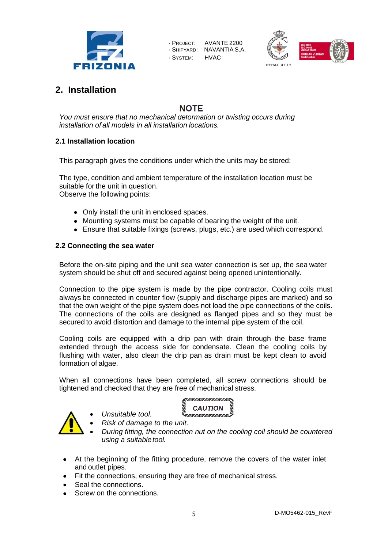





# <span id="page-4-0"></span>**2. Installation**

## **NOTF**

*You must ensure that no mechanical deformation or twisting occurs during installation of all models in all installation locations.* 

#### **2.1 Installation location**

This paragraph gives the conditions under which the units may be stored:

The type, condition and ambient temperature of the installation location must be suitable for the unit in question. Observe the following points:

- Only install the unit in enclosed spaces.
- Mounting systems must be capable of bearing the weight of the unit.
- Ensure that suitable fixings (screws, plugs, etc.) are used which correspond.

#### <span id="page-4-1"></span>**2.2 Connecting the sea water**

Before the on-site piping and the unit sea water connection is set up, the sea water system should be shut off and secured against being opened unintentionally.

Connection to the pipe system is made by the pipe contractor. Cooling coils must always be connected in counter flow (supply and discharge pipes are marked) and so that the own weight of the pipe system does not load the pipe connections of the coils. The connections of the coils are designed as flanged pipes and so they must be secured to avoid distortion and damage to the internal pipe system of the coil.

Cooling coils are equipped with a drip pan with drain through the base frame extended through the access side for condensate. Clean the cooling coils by flushing with water, also clean the drip pan as drain must be kept clean to avoid formation of algae.

When all connections have been completed, all screw connections should be tightened and checked that they are free of mechanical stress.



<u>in procedenta componenti e un componenti e un componenti e un componenti e un componenti e un componenti e un </u> **CAUTION** wwwwwwwww

- *Risk of damage to the unit. During fitting, the connection nut on the cooling coil should be countered*
- At the beginning of the fitting procedure, remove the covers of the water inlet and outlet pipes.
- Fit the connections, ensuring they are free of mechanical stress.
- Seal the connections.
- Screw on the connections.

*Unsuitable tool.*

*using a suitable tool.*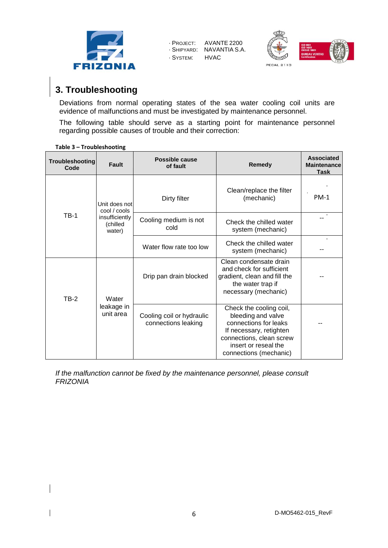



# <span id="page-5-0"></span>**3. Troubleshooting**

Deviations from normal operating states of the sea water cooling coil units are evidence of malfunctions and must be investigated by maintenance personnel.

The following table should serve as a starting point for maintenance personnel regarding possible causes of trouble and their correction:

| Troubleshooting<br>Code | Fault                                | <b>Possible cause</b><br>of fault                | Remedy                                                                                                                                                                          | <b>Associated</b><br><b>Maintenance</b><br>Task |
|-------------------------|--------------------------------------|--------------------------------------------------|---------------------------------------------------------------------------------------------------------------------------------------------------------------------------------|-------------------------------------------------|
|                         | Unit does not<br>cool / cools        | Dirty filter                                     | Clean/replace the filter<br>(mechanic)                                                                                                                                          | $PM-1$                                          |
| $TB-1$                  | insufficiently<br>(chilled<br>water) | Cooling medium is not<br>cold                    | Check the chilled water<br>system (mechanic)                                                                                                                                    |                                                 |
|                         |                                      | Water flow rate too low                          | Check the chilled water<br>system (mechanic)                                                                                                                                    |                                                 |
| <b>TB-2</b>             | Water                                | Drip pan drain blocked                           | Clean condensate drain<br>and check for sufficient<br>gradient, clean and fill the<br>the water trap if<br>necessary (mechanic)                                                 |                                                 |
|                         | leakage in<br>unit area              | Cooling coil or hydraulic<br>connections leaking | Check the cooling coil,<br>bleeding and valve<br>connections for leaks<br>If necessary, retighten<br>connections, clean screw<br>insert or reseal the<br>connections (mechanic) |                                                 |

**Table 3 – [Troubleshooting](#page-5-0)**

*If the malfunction cannot be fixed by the maintenance personnel, please consult FRIZONIA*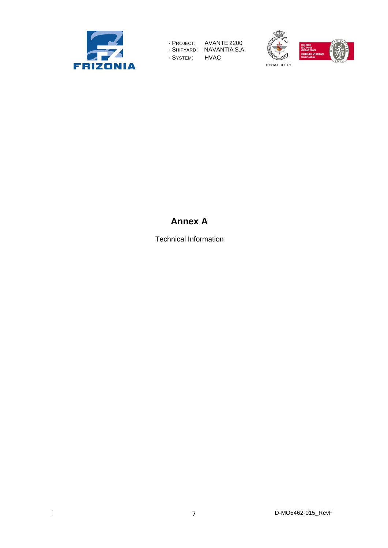





# **Annex A**

Technical Information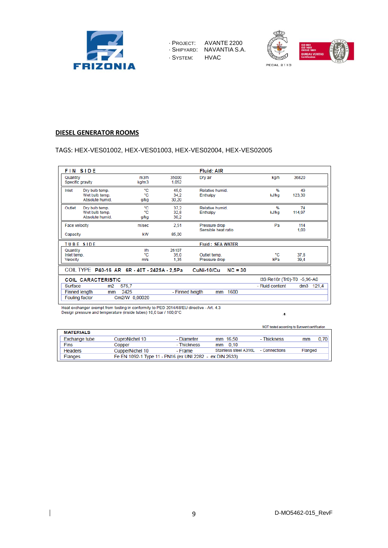





#### **DIESEL GENERATOR ROOMS**

#### TAGS: HEX-VES01002, HEX-VES01003, HEX-VES02004, HEX-VES02005

|                                     | <b>FIN SIDE</b>                                     |                         |                       | <b>Fluid: AIR</b>                    |                             |              |
|-------------------------------------|-----------------------------------------------------|-------------------------|-----------------------|--------------------------------------|-----------------------------|--------------|
| Quantity                            | Specific gravity                                    | m3/h<br>kg/m3           | 35000<br>1,052        | Dry air                              | kg/h                        | 36820        |
| Inlet                               | Dry bulb temp.<br>Wet bulb temp.<br>Absolute humid. | ۰c<br>۰c<br>g/kg        | 45.0<br>34.2<br>30,20 | Relative humid<br>Enthalpy           | %<br>kJ/kg                  | 49<br>123.30 |
| Outlet                              | Dry bulb temp.<br>Wet bulb temp.<br>Absolute humid. | ۰c<br>۰c<br>g/kg        | 37.2<br>32,8<br>30,2  | Relative humid.<br>Enthalpy          | %<br>kJ/kg                  | 74<br>114,97 |
|                                     | Face velocity                                       | m/sec                   | 2,51                  | Pressure drop<br>Sensible heat ratio | Pa                          | 114<br>1,00  |
| Capacity                            |                                                     | kW                      | 85,00                 |                                      |                             |              |
|                                     | <b>TUBE SIDE</b>                                    |                         |                       | <b>Fluid: SEA WATER</b>              |                             |              |
| Quantity<br>Inlet temp.<br>Velocity |                                                     | <b>I/h</b><br>۰c<br>m/s | 26107<br>35.0<br>1,35 | Outlet temp.<br>Pressure drop        | ۰c<br>kPa                   | 37,8<br>39,4 |
|                                     | COIL TYPE P40-16 AR 6R - 40T - 2425A - 2,5Pa        |                         |                       | $NC = 30$<br>CuNi-10/Cu              |                             |              |
|                                     | <b>COIL CARACTERISTIC</b>                           |                         |                       |                                      | I3S Re18r (Tr0)-T0 -5,96-A0 |              |
| Surface                             | m2                                                  | 575.7                   |                       |                                      | - Fluid content             | 121.4<br>dm3 |
|                                     | <b>Finned length</b><br>mm<br><b>Fouling factor</b> | 2425<br>Cm2/W 0,00020   | - Finned heigth       | 1600<br>mm                           |                             |              |

Heat exchanger exempt from testing in conformity to PED 2014/68/EU directive - Art. 4.3<br>Design pressure and temperature (inside tubes) 10,0 bar / 100,0°C  $\Lambda$ 

NOT tested according to Eurovent certification **MATERIALS** Exchange tube CuproNichel 10  $mm 16,50$ - Diameter - Thickness  $mm$  $0,70$ Fins - Thickness  $mm$  0,10 Copper Stainless steel A316L Flanged - Connections Headers CupperNichel 10 - Frame Flanges Fe EN 1092-1 Type 11 - PN16 (ex UNI 2282 - ex DIN 2633)

9 D-MO5462-015\_RevF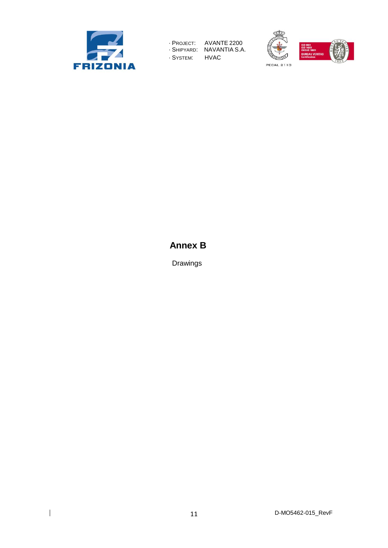

**PECAL 2110** 



# **Annex B**

Drawings

11 D-MO5462-015\_RevF